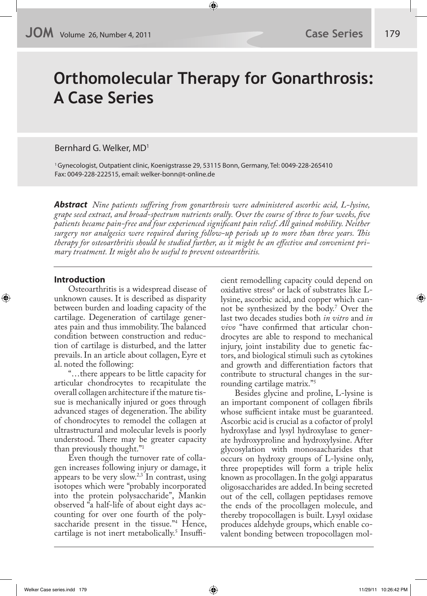# **Orthomolecular Therapy for Gonarthrosis: A Case Series**

Bernhard G. Welker, MD1

1 Gynecologist, Outpatient clinic, Koenigstrasse 29, 53115 Bonn, Germany, Tel: 0049-228-265410 Fax: 0049-228-222515, email: welker-bonn@t-online.de

**Abstract** *Nine patients su!ering from gonarthrosis were administered ascorbic acid, L-lysine, grape seed extract, and broad-spectrum nutrients orally. Over the course of three to four weeks, "ve patients became pain-free and four experienced signi"cant pain relief. All gained mobility. Neither surgery nor analgesics were required during follow-up periods up to more than three years. This therapy for osteoarthritis should be studied further, as it might be an e!ective and convenient primary treatment. It might also be useful to prevent osteoarthritis.*

### **Introduction**

Osteoarthritis is a widespread disease of unknown causes. It is described as disparity between burden and loading capacity of the cartilage. Degeneration of cartilage generates pain and thus immobility. The balanced condition between construction and reduction of cartilage is disturbed, and the latter prevails. In an article about collagen, Eyre et al. noted the following:

"…there appears to be little capacity for articular chondrocytes to recapitulate the overall collagen architecture if the mature tissue is mechanically injured or goes through advanced stages of degeneration. The ability of chondrocytes to remodel the collagen at ultrastructural and molecular levels is poorly understood. There may be greater capacity than previously thought."1

Even though the turnover rate of collagen increases following injury or damage, it appears to be very slow.<sup>2,3</sup> In contrast, using isotopes which were "probably incorporated into the protein polysaccharide", Mankin observed "a half-life of about eight days accounting for over one fourth of the polysaccharide present in the tissue."<sup>4</sup> Hence, cartilage is not inert metabolically.<sup>5</sup> Insufficient remodelling capacity could depend on oxidative stress<sup>6</sup> or lack of substrates like Llysine, ascorbic acid, and copper which cannot be synthesized by the body.7 Over the last two decades studies both *in vitro* and *in vivo* "have confirmed that articular chondrocytes are able to respond to mechanical injury, joint instability due to genetic factors, and biological stimuli such as cytokines and growth and differentiation factors that contribute to structural changes in the surrounding cartilage matrix."5

Besides glycine and proline, L-lysine is an important component of collagen fibrils whose sufficient intake must be guaranteed. Ascorbic acid is crucial as a cofactor of prolyl hydroxylase and lysyl hydroxylase to generate hydroxyproline and hydroxylysine. After glycosylation with monosaacharides that occurs on hydroxy groups of L-lysine only, three propeptides will form a triple helix known as procollagen. In the golgi apparatus oligosaccharides are added. In being secreted out of the cell, collagen peptidases remove the ends of the procollagen molecule, and thereby tropocollagen is built. Lysyl oxidase produces aldehyde groups, which enable covalent bonding between tropocollagen mol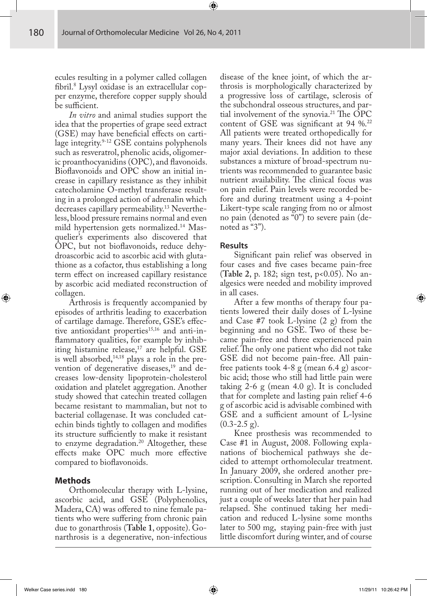ecules resulting in a polymer called collagen fibril.<sup>8</sup> Lysyl oxidase is an extracellular copper enzyme, therefore copper supply should be sufficient.

*In vitro* and animal studies support the idea that the properties of grape seed extract  $(GSE)$  may have beneficial effects on cartilage integrity.<sup>9-12</sup> GSE contains polyphenols such as resveratrol, phenolic acids, oligomeric proanthocyanidins (OPC), and flavonoids. Bioflavonoids and OPC show an initial increase in capillary resistance as they inhibit catecholamine O-methyl transferase resulting in a prolonged action of adrenalin which decreases capillary permeability.13 Nevertheless, blood pressure remains normal and even mild hypertension gets normalized.14 Masquelier's experiments also discovered that OPC, but not bioflavonoids, reduce dehydroascorbic acid to ascorbic acid with glutathione as a cofactor, thus establishing a long term effect on increased capillary resistance by ascorbic acid mediated reconstruction of collagen.

Arthrosis is frequently accompanied by episodes of arthritis leading to exacerbation of cartilage damage. Therefore, GSE's effective antioxidant properties<sup>15,16</sup> and anti-inflammatory qualities, for example by inhibiting histamine release, $17$  are helpful. GSE is well absorbed, $14,18$  plays a role in the prevention of degenerative diseases, $^{19}$  and decreases low-density lipoprotein-cholesterol oxidation and platelet aggregation. Another study showed that catechin treated collagen became resistant to mammalian, but not to bacterial collagenase. It was concluded catechin binds tightly to collagen and modifies its structure sufficiently to make it resistant to enzyme degradation.<sup>20</sup> Altogether, these effects make OPC much more effective compared to bioflavonoids.

## **Methods**

Orthomolecular therapy with L-lysine, ascorbic acid, and GSE (Polyphenolics, Madera, CA) was offered to nine female patients who were suffering from chronic pain due to gonarthrosis (**Table 1**, opposite). Gonarthrosis is a degenerative, non-infectious

disease of the knee joint, of which the arthrosis is morphologically characterized by a progressive loss of cartilage, sclerosis of the subchondral osseous structures, and partial involvement of the synovia.<sup>21</sup> The OPC content of GSE was significant at 94  $\%$ .<sup>22</sup> All patients were treated orthopedically for many years. Their knees did not have any major axial deviations. In addition to these substances a mixture of broad-spectrum nutrients was recommended to guarantee basic nutrient availability. The clinical focus was on pain relief. Pain levels were recorded before and during treatment using a 4-point Likert-type scale ranging from no or almost no pain (denoted as "0") to severe pain (denoted as "3").

## **Results**

Significant pain relief was observed in four cases and five cases became pain-free (**Table 2**, p. 182; sign test, p<0.05). No analgesics were needed and mobility improved in all cases.

After a few months of therapy four patients lowered their daily doses of L-lysine and Case #7 took L-lysine (2 g) from the beginning and no GSE. Two of these became pain-free and three experienced pain relief. The only one patient who did not take GSE did not become pain-free. All painfree patients took 4-8 g (mean 6.4 g) ascorbic acid; those who still had little pain were taking 2-6 g (mean 4.0 g). It is concluded that for complete and lasting pain relief 4-6 g of ascorbic acid is advisable combined with GSE and a sufficient amount of L-lysine  $(0.3-2.5 \text{ g})$ .

Knee prosthesis was recommended to Case #1 in August, 2008. Following explanations of biochemical pathways she decided to attempt orthomolecular treatment. In January 2009, she ordered another prescription. Consulting in March she reported running out of her medication and realized just a couple of weeks later that her pain had relapsed. She continued taking her medication and reduced L-lysine some months later to 500 mg, staying pain-free with just little discomfort during winter, and of course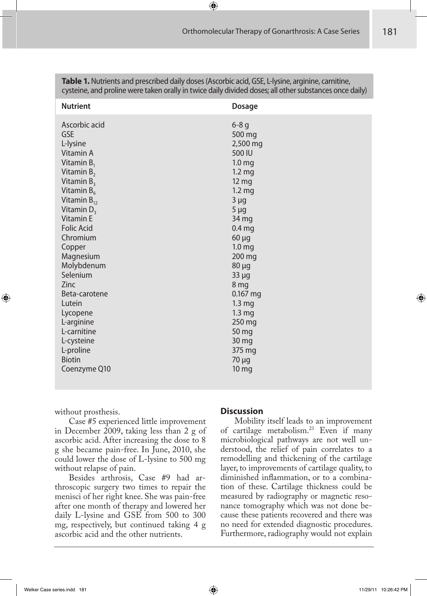| <b>Nutrient</b>                                                                                                                                                                                                                                                                                                                                                                                                    | <b>Dosage</b>                                                                                                                                                                                                                                                                                                                                                                                |
|--------------------------------------------------------------------------------------------------------------------------------------------------------------------------------------------------------------------------------------------------------------------------------------------------------------------------------------------------------------------------------------------------------------------|----------------------------------------------------------------------------------------------------------------------------------------------------------------------------------------------------------------------------------------------------------------------------------------------------------------------------------------------------------------------------------------------|
| Ascorbic acid<br><b>GSE</b><br>L-lysine<br>Vitamin A<br>Vitamin $B_1$<br>Vitamin $B_2$<br>Vitamin $B_3$<br>Vitamin $B_6$<br>Vitamin $B_{12}$<br>Vitamin $D_3$<br><b>Vitamin E</b><br><b>Folic Acid</b><br>Chromium<br>Copper<br>Magnesium<br>Molybdenum<br>Selenium<br><b>Zinc</b><br>Beta-carotene<br>Lutein<br>Lycopene<br>L-arginine<br>L-carnitine<br>L-cysteine<br>L-proline<br><b>Biotin</b><br>Coenzyme Q10 | $6-8q$<br>500 mg<br>2,500 mg<br>500 IU<br>1.0 <sub>mg</sub><br>1.2 <sub>mg</sub><br>$12 \, mg$<br>1.2 <sub>mg</sub><br>$3 \mu g$<br>$5 \mu g$<br>34 mg<br>0.4 <sub>mg</sub><br>$60 \mu g$<br>1.0 <sub>mg</sub><br>200 mg<br>$80 \mu g$<br>$33 \mu g$<br>8 mg<br>$0.167$ mg<br>1.3 <sub>mg</sub><br>1.3 <sub>mg</sub><br>250 mg<br>50 mg<br>30 mg<br>375 mg<br>$70 \mu g$<br>10 <sub>mg</sub> |
|                                                                                                                                                                                                                                                                                                                                                                                                                    |                                                                                                                                                                                                                                                                                                                                                                                              |

**Table 1.** Nutrients and prescribed daily doses (Ascorbic acid, GSE, L-lysine, arginine, carnitine, cysteine, and proline were taken orally in twice daily divided doses; all other substances once daily)

without prosthesis.

Case #5 experienced little improvement in December 2009, taking less than 2 g of ascorbic acid. After increasing the dose to 8 g she became pain-free. In June, 2010, she could lower the dose of L-lysine to 500 mg without relapse of pain.

Besides arthrosis, Case #9 had arthroscopic surgery two times to repair the menisci of her right knee. She was pain-free after one month of therapy and lowered her daily L-lysine and GSE from 500 to 300 mg, respectively, but continued taking 4 g ascorbic acid and the other nutrients.

#### **Discussion**

Mobility itself leads to an improvement of cartilage metabolism.23 Even if many microbiological pathways are not well understood, the relief of pain correlates to a remodelling and thickening of the cartilage layer, to improvements of cartilage quality, to diminished inflammation, or to a combination of these. Cartilage thickness could be measured by radiography or magnetic resonance tomography which was not done because these patients recovered and there was no need for extended diagnostic procedures. Furthermore, radiography would not explain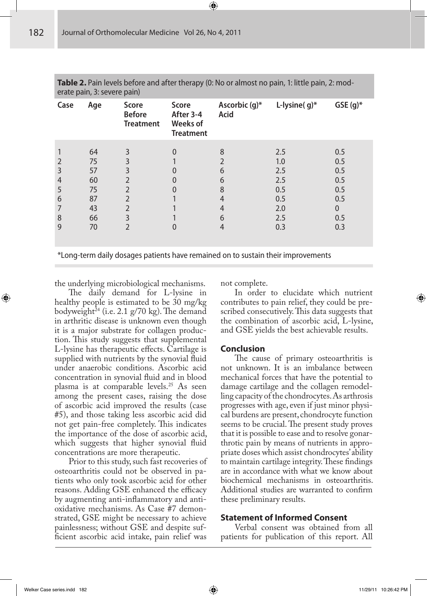| Case                                              | Age                                                | <b>Score</b><br><b>Before</b><br><b>Treatment</b> | Score<br>After 3-4<br><b>Weeks of</b><br><b>Treatment</b> | Ascorbic (g)*<br><b>Acid</b>         | L-lysine( $g$ )*                                            | $GSE(g)^*$                                                       |
|---------------------------------------------------|----------------------------------------------------|---------------------------------------------------|-----------------------------------------------------------|--------------------------------------|-------------------------------------------------------------|------------------------------------------------------------------|
| 2<br>3<br>$\overline{4}$<br>5<br>6<br>7<br>8<br>9 | 64<br>75<br>57<br>60<br>75<br>87<br>43<br>66<br>70 | 3<br>3<br>$\overline{2}$                          | 0<br>0                                                    | 8<br>6<br>6<br>8<br>4<br>4<br>6<br>4 | 2.5<br>1.0<br>2.5<br>2.5<br>0.5<br>0.5<br>2.0<br>2.5<br>0.3 | 0.5<br>0.5<br>0.5<br>0.5<br>0.5<br>0.5<br>$\Omega$<br>0.5<br>0.3 |

**Table 2.** Pain levels before and after therapy (0: No or almost no pain, 1: little pain, 2: moderate pain, 3: severe pain)

\*Long-term daily dosages patients have remained on to sustain their improvements

the underlying microbiological mechanisms.

The daily demand for L-lysine in healthy people is estimated to be 30 mg/kg bodyweight<sup>24</sup> (i.e. 2.1 g/70 kg). The demand in arthritic disease is unknown even though it is a major substrate for collagen production. This study suggests that supplemental L-lysine has therapeutic effects. Cartilage is supplied with nutrients by the synovial fluid under anaerobic conditions. Ascorbic acid concentration in synovial fluid and in blood plasma is at comparable levels.<sup>25</sup> As seen among the present cases, raising the dose of ascorbic acid improved the results (case #5), and those taking less ascorbic acid did not get pain-free completely. This indicates the importance of the dose of ascorbic acid, which suggests that higher synovial fluid concentrations are more therapeutic.

Prior to this study, such fast recoveries of osteoarthritis could not be observed in patients who only took ascorbic acid for other reasons. Adding GSE enhanced the efficacy by augmenting anti-inflammatory and antioxidative mechanisms. As Case #7 demonstrated, GSE might be necessary to achieve painlessness; without GSE and despite suf ficient ascorbic acid intake, pain relief was

not complete.

In order to elucidate which nutrient contributes to pain relief, they could be prescribed consecutively. This data suggests that the combination of ascorbic acid, L-lysine, and GSE yields the best achievable results.

#### **Conclusion**

The cause of primary osteoarthritis is not unknown. It is an imbalance between mechanical forces that have the potential to damage cartilage and the collagen remodelling capacity of the chondrocytes. As arthrosis progresses with age, even if just minor physical burdens are present, chondrocyte function seems to be crucial. The present study proves that it is possible to ease and to resolve gonarthrotic pain by means of nutrients in appropriate doses which assist chondrocytes' ability to maintain cartilage integrity. These findings are in accordance with what we know about biochemical mechanisms in osteoarthritis. Additional studies are warranted to confirm these preliminary results.

## **Statement of Informed Consent**

Verbal consent was obtained from all patients for publication of this report. All